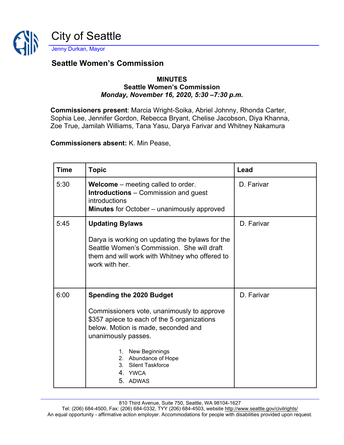

## **Seattle Women's Commission**

## **MINUTES Seattle Women's Commission** *Monday, November 16, 2020, 5:30 –7:30 p.m.*

**Commissioners present**: Marcia Wright-Soika, Abriel Johnny, Rhonda Carter, Sophia Lee, Jennifer Gordon, Rebecca Bryant, Chelise Jacobson, Diya Khanna, Zoe True, Jamilah Williams, Tana Yasu, Darya Farivar and Whitney Nakamura

## **Commissioners absent:** K. Min Pease,

| <b>Time</b> | <b>Topic</b>                                                                                                                                                                                                                                                                          | Lead       |
|-------------|---------------------------------------------------------------------------------------------------------------------------------------------------------------------------------------------------------------------------------------------------------------------------------------|------------|
| 5:30        | <b>Welcome</b> – meeting called to order.<br><b>Introductions</b> – Commission and guest<br>introductions<br><b>Minutes</b> for October - unanimously approved                                                                                                                        | D. Farivar |
| 5:45        | <b>Updating Bylaws</b><br>Darya is working on updating the bylaws for the<br>Seattle Women's Commission. She will draft<br>them and will work with Whitney who offered to<br>work with her.                                                                                           | D. Farivar |
| 6:00        | <b>Spending the 2020 Budget</b><br>Commissioners vote, unanimously to approve<br>\$357 apiece to each of the 5 organizations<br>below. Motion is made, seconded and<br>unanimously passes.<br>1. New Beginnings<br>2. Abundance of Hope<br>3. Silent Taskforce<br>4. YWCA<br>5. ADWAS | D. Farivar |

810 Third Avenue, Suite 750, Seattle, WA 98104-1627

Tel: (206) 684-4500, Fax: (206) 684-0332, TYY (206) 684-4503, website<http://www.seattle.gov/civilrights/> An equal opportunity - affirmative action employer. Accommodations for people with disabilities provided upon request.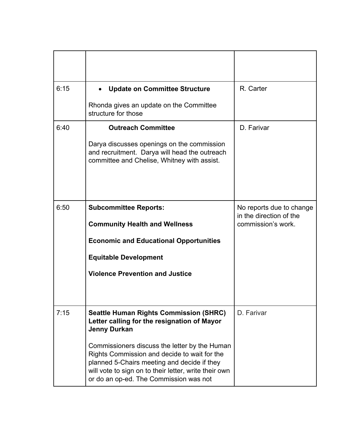| 6:15 | <b>Update on Committee Structure</b><br>$\bullet$                                                                                                                                                                                               | R. Carter                                           |
|------|-------------------------------------------------------------------------------------------------------------------------------------------------------------------------------------------------------------------------------------------------|-----------------------------------------------------|
|      | Rhonda gives an update on the Committee<br>structure for those                                                                                                                                                                                  |                                                     |
| 6:40 | <b>Outreach Committee</b>                                                                                                                                                                                                                       | D. Farivar                                          |
|      | Darya discusses openings on the commission<br>and recruitment. Darya will head the outreach<br>committee and Chelise, Whitney with assist.                                                                                                      |                                                     |
| 6:50 | <b>Subcommittee Reports:</b>                                                                                                                                                                                                                    | No reports due to change<br>in the direction of the |
|      | <b>Community Health and Wellness</b>                                                                                                                                                                                                            | commission's work.                                  |
|      | <b>Economic and Educational Opportunities</b>                                                                                                                                                                                                   |                                                     |
|      | <b>Equitable Development</b>                                                                                                                                                                                                                    |                                                     |
|      | <b>Violence Prevention and Justice</b>                                                                                                                                                                                                          |                                                     |
| 7:15 | <b>Seattle Human Rights Commission (SHRC)</b><br>Letter calling for the resignation of Mayor<br><b>Jenny Durkan</b>                                                                                                                             | D. Farivar                                          |
|      | Commissioners discuss the letter by the Human<br>Rights Commission and decide to wait for the<br>planned 5-Chairs meeting and decide if they<br>will vote to sign on to their letter, write their own<br>or do an op-ed. The Commission was not |                                                     |